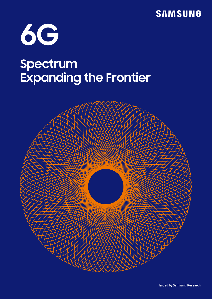**SAMSUNG** 



# **Spectrum Expanding the Frontier**

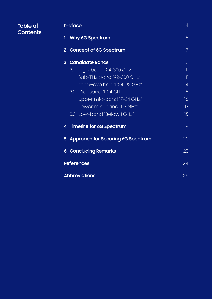| <b>Table of</b><br><b>Contents</b> | <b>Preface</b>                      | $\overline{4}$           |
|------------------------------------|-------------------------------------|--------------------------|
|                                    | 1<br>Why 6G Spectrum                | 5                        |
|                                    | 2 Concept of 6G Spectrum            | $\overline{7}$           |
|                                    | 3 Candidate Bands                   | 10 <sup>°</sup>          |
|                                    | High-band "24-300 GHz"<br>3.1       | $\overline{\mathcal{H}}$ |
|                                    | Sub-THz band "92-300 GHz"           | $\overline{\mathcal{H}}$ |
|                                    | mmWave band "24-92 GHz"             | 14                       |
|                                    | 3.2 Mid-band "1-24 GHz"             | 15                       |
|                                    | Upper mid-band "7-24 GHz"           | 16                       |
|                                    | Lower mid-band "I-7 GHz"            | 17                       |
|                                    | 3.3 Low-band "Below 1 GHz"          | 18                       |
|                                    | 4 Timeline for 6G Spectrum          | 19                       |
|                                    | 5 Approach for Securing 6G Spectrum | 20                       |
|                                    | <b>6 Concluding Remarks</b>         | 23                       |
|                                    | <b>References</b>                   | 24                       |
|                                    | <b>Abbreviations</b>                | 25                       |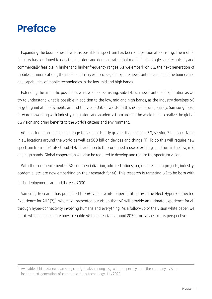## **Preface**

Expanding the boundaries of what is possible in spectrum has been our passion at Samsung. The mobile industry has continued to defy the doubters and demonstrated that mobile technologies are technically and commercially feasible in higher and higher frequency ranges. As we embark on 6G, the next generation of mobile communications, the mobile industry will once again explore new frontiers and push the boundaries and capabilities of mobile technologies in the low, mid and high bands.

Extending the art of the possible is what we do at Samsung. Sub-THz is a new frontier of exploration as we try to understand what is possible in addition to the low, mid and high bands, as the industry develops 6G targeting initial deployments around the year 2030 onwards. In this 6G spectrum journey, Samsung looks forward to working with industry, regulators and academia from around the world to help realize the global 6G vision and bring benefits to the world's citizens and environment.

6G is facing a formidable challenge to be significantly greater than evolved 5G, serving 7 billion citizens in all locations around the world as well as 500 billion devices and things [1]. To do this will require new spectrum from sub-1 GHz to sub-THz, in addition to the continued reuse of existing spectrum in the low, mid and high bands. Global cooperation will also be required to develop and realize the spectrum vision.

With the commencement of 5G commercialization, administrations, regional research projects, industry, academia, etc. are now embarking on their research for 6G. This research is targeting 6G to be born with initial deployments around the year 2030.

Samsung Research has published the 6G vision white paper entitled "6G, The Next Hyper-Connected Experience for All." [2],<sup>1</sup> where we presented our vision that 6G will provide an ultimate experience for all through hyper-connectivity involving humans and everything. As a follow-up of the vision white paper, we in this white paper explore how to enable 6G to be realized around 2030 from a spectrum's perspective.

<sup>1</sup> Available at https://news.samsung.com/global/samsungs-6g-white-paper-lays-out-the-companys-visionfor-the-next-generation-of-communications-technology, July 2020.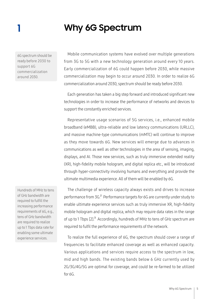### **1 Why 6G Spectrum**

6G spectrum should be ready before 2030 to support 6G commercialization around 2030.

Hundreds of MHz to tens of GHz bandwidth are required to fulfill the increasing performance requirements of 6G, e.g., tens of GHz bandwidth are required to realize up to 1 Tbps data rate for enabling some ultimate experience services.

Mobile communication systems have evolved over multiple generations from 3G to 5G with a new technology generation around every 10 years. Early commercialization of 6G could happen before 2030, while massive commercialization may begin to occur around 2030. In order to realize 6G commercialization around 2030, spectrum should be ready before 2030.

Each generation has taken a big step forward and introduced significant new technologies in order to increase the performance of networks and devices to support the constantly enriched services.

Representative usage scenarios of 5G services, i.e., enhanced mobile broadband (eMBB), ultra-reliable and low latency communications (URLLC), and massive machine-type communications (mMTC) will continue to improve as they move towards 6G. New services will emerge due to advances in communications as well as other technologies in the area of sensing, imaging, displays, and AI. Those new services, such as truly immersive extended reality (XR), high-fidelity mobile hologram, and digital replica etc., will be introduced through hyper-connectivity involving humans and everything and provide the ultimate multimedia experience. All of them will be enabled by 6G.

The challenge of wireless capacity always exists and drives to increase performance from 3G.<sup>2</sup> Performance targets for 6G are currently under study to enable ultimate experience services such as truly immersive XR, high-fidelity mobile hologram and digital replica, which may require data rates in the range of up to 1 Tbps [2].<sup>3</sup> Accordingly, hundreds of MHz to tens of GHz spectrum are required to fulfil the performance requirements of the network.

To realize the full experience of 6G, the spectrum should cover a range of frequencies to facilitate enhanced coverage as well as enhanced capacity. Various applications and services require access to the spectrum in low, mid and high bands. The existing bands below 6 GHz currently used by 2G/3G/4G/5G are optimal for coverage, and could be re-farmed to be utilized for 6G.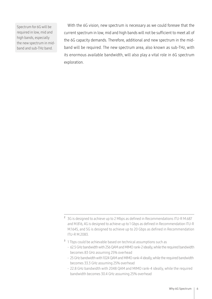Spectrum for 6G will be required in low, mid and high bands, especially the new spectrum in midband and sub-THz band.

With the 6G vision, new spectrum is necessary as we could foresee that the current spectrum in low, mid and high bands will not be sufficient to meet all of the 6G capacity demands. Therefore, additional and new spectrum in the midband will be required. The new spectrum area, also known as sub-THz, with its enormous available bandwidth, will also play a vital role in 6G spectrum exploration.

- <sup>3</sup> 1 Tbps could be achievable based on technical assumptions such as
	- 62.5 GHz bandwidth with 256 QAM and MIMO rank-2 ideally, while the required bandwidth becomes 83 GHz assuming 25% overhead
	- 25 GHz bandwidth with 1024 QAM and MIMO rank-4 ideally, while the required bandwidth becomes 33.3 GHz assuming 25% overhead
	- 22.8 GHz bandwidth with 2048 QAM and MIMO rank-4 ideally, while the required bandwidth becomes 30.4 GHz assuming 25% overhead

<sup>&</sup>lt;sup>2</sup> 3G is designed to achieve up to 2 Mbps as defined in Recommendations ITU-R M.687 and M.816, 4G is designed to achieve up to 1 Gbps as defined in Recommendation ITU-R M.1645, and 5G is designed to achieve up to 20 Gbps as defined in Recommendation ITU-R M.2083.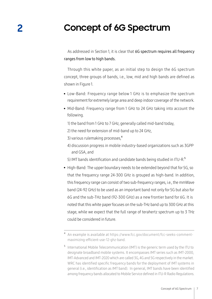### **2 Concept of 6G Spectrum**

As addressed in Section 1, it is clear that 6G spectrum requires all frequency ranges from low to high bands.

Through this white paper, as an initial step to design the 6G spectrum concept, three groups of bands, i.e., low, mid and high bands are defined as shown in Figure 1.

- Low-Band: Frequency range below 1 GHz is to emphasize the spectrum . requirement for extremely large area and deep indoor coverage of the network.
- Mid-Band: Frequency range from 1 GHz to 24 GHz taking into account the following.

1) the band from 1 GHz to 7 GHz, generally called mid-band today,

- 2) the need for extension of mid-band up to 24 GHz,
- 3) various rulemaking processes,<sup>4</sup>
- 4) discussion progress in mobile industry-based organizations such as 3GPP and GSA, and
- 5) IMT bands identification and candidate bands being studied in ITU-R.<sup>5</sup>
- High-Band: The upper boundary needs to be extended beyond that for 5G, so that the frequency range 24-300 GHz is grouped as high-band. In addition, this frequency range can consist of two sub-frequency ranges, i.e., the mmWave band (24-92 GHz) to be used as an important band not only for 5G but also for 6G and the sub-THz band (92-300 GHz) as a new frontier band for 6G. It is noted that this white paper focuses on the sub-THz band up to 300 GHz at this stage, while we expect that the full range of terahertz spectrum up to 3 THz could be considered in future.

<sup>4</sup> An example is available at https://www.fcc.gov/document/fcc-seeks-commentmaximizing-efficient-use-12-ghz-band.

<sup>5</sup> International Mobile Telecommunication (IMT) is the generic term used by the ITU to designate broadband mobile systems. It encompasses IMT series such as IMT-2000, IMT-Advanced and IMT-2020 which are called 3G, 4G and 5G respectively in the market. WRC has identified specific frequency bands for the deployment of IMT systems in general (i.e., identification as IMT band). In general, IMT bands have been identified among frequency bands allocated to Mobile Service defined in ITU-R Radio Regulations.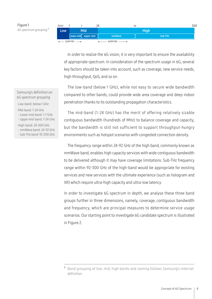

In order to realize the 6G vision, it is very important to ensure the availability of appropriate spectrum. In consideration of the spectrum usage in 6G, several key factors should be taken into account, such as coverage, new service needs, high throughput, QoS, and so on.

The low-band (below 1 GHz), while not easy to secure wide bandwidth compared to other bands, could provide wide area coverage and deep indoor penetration thanks to its outstanding propagation characteristics.

The mid-band (1-24 GHz) has the merit of offering relatively sizable contiguous bandwidth (hundreds of MHz) to balance coverage and capacity, but the bandwidth is still not sufficient to support throughput-hungry environments such as hotspot scenarios with congested connection density.

The frequency range within 24-92 GHz of the high band, commonly known as mmWave band, enables high capacity services with wide contiguous bandwidth to be delivered although it may have coverage limitations. Sub-THz frequency range within 92-300 GHz of the high-band would be appropriate for existing services and new services with the ultimate experience (such as hologram and XR) which require ultra-high capacity and ultra-low latency.

In order to investigate 6G spectrum in depth, we analyse these three band groups further in three dimensions, namely, coverage, contiguous bandwidth and frequency, which are principal measures to determine service usage scenarios. Our starting point to investigate 6G candidate spectrum is illustrated in Figure 2.

Samsung's definition on 6G spectrum grouping

- . Low-band: below 1 GHz
- . Mid-band: 1-24 GHz
- Lower mid-band: 1-7 GHz

- Upper mid-band: 7-24 GHz

. High-band: 24-300 GHz

- mmWave band: 24-92 GHz

- Sub-THz band: 92-300 GHz

<sup>6</sup> Band grouping of low, mid, high bands and naming follows Samsung's internal definition.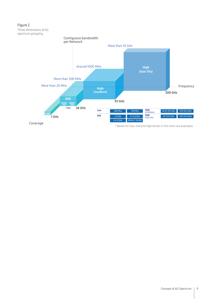

\* Bands for low, mid and high bands in this chart are examples.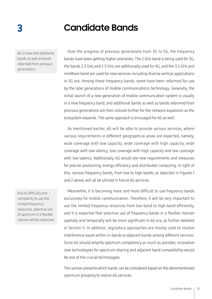### **3 Candidate Bands**

6G in new and additional bands as well as bands refarmed from previous generations.

Over the progress of previous generations from 3G to 5G, the frequency bands have been getting higher and wider. The 2 GHz band is being used for 3G, the bands 2.3 GHz and 2.5 GHz are additionally used for 4G, and the 3.5 GHz and mmWave band are used for new services including diverse vertical applications in 5G era. Among these frequency bands, some have been refarmed for use by the later generations of mobile communications technology. Generally, the initial launch of a new generation of mobile communication system is usually in a new frequency band, and additional bands as well as bands refarmed from previous generations are then utilized further for the network expansion as the ecosystem expands. The same approach is envisaged for 6G as well.

As mentioned earlier, 6G will be able to provide various services, where various requirements in different geographical areas are expected, namely, wide coverage with low capacity, wide coverage with high capacity, wide coverage with low latency, low coverage with high capacity and low coverage with low latency. Additionally, 6G would see new requirements and measures for precise positioning, energy efficiency and distributed computing. In light of this, various frequency bands, from low to high bands, as depicted in Figures 1 and 2 above, will all be utilized in future 6G services.

Meanwhile, it is becoming more and more difficult to use frequency bands exclusively for mobile communication. Therefore, it will be very important to use the limited frequency resources from low-band to high-band efficiently, and it is expected that selective use of frequency bands in a flexible manner spatially and temporally will be more significant in 6G era, as further detailed in Section 5. In addition, regulatory approaches are mostly used to resolve interference issues within in-bands or adjacent bands among different services. Since 6G should amplify spectrum competency as much as possible, innovative new technologies for spectrum sharing and adjacent band compatibility would be one of the crucial technologies.

This section presents which bands can be considered based on the aforementioned spectrum grouping to realize 6G services.

Due to difficulty and complexity to use the limited frequency resources, selective use of spectrum in a flexible manner will be important.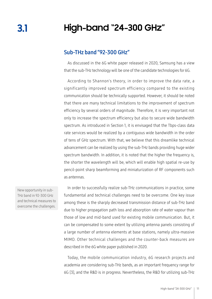### **High-band "24-300 GHz"**

#### Sub-THz band "92-300 GHz"

As discussed in the 6G white paper released in 2020, Samsung has a view that the sub-THz technology will be one of the candidate technologies for 6G.

According to Shannon's theory, in order to improve the data rate, a significantly improved spectrum efficiency compared to the existing communication should be technically supported. However, it should be noted that there are many technical limitations to the improvement of spectrum efficiency by several orders of magnitude. Therefore, it is very important not only to increase the spectrum efficiency but also to secure wide bandwidth spectrum. As introduced in Section 1, it is envisaged that the Tbps-class data rate services would be realized by a contiguous wide bandwidth in the order of tens of GHz spectrum. With that, we believe that this dreamlike technical advancement can be realized by using the sub-THz bands providing huge wider spectrum bandwidth. In addition, it is noted that the higher the frequency is, the shorter the wavelength will be, which will enable high spatial re-use by pencil-point sharp beamforming and miniaturization of RF components such as antennas.

New opportunity in sub-THz band in 92-300 GHz and technical measures to overcome the challenges.

In order to successfully realize sub-THz communications in practice, some fundamental and technical challenges need to be overcome. One key issue among these is the sharply decreased transmission distance of sub-THz band due to higher propagation path loss and absorption rate of water vapour than those of low and mid-band used for existing mobile communication. But, it can be compensated to some extent by utilizing antenna panels consisting of a large number of antenna elements at base stations, namely ultra-massive MIMO. Other technical challenges and the counter-back measures are described in the 6G white paper published in 2020.

Today, the mobile communication industry, 6G research projects and academia are considering sub-THz bands, as an important frequency range for 6G [3], and the R&D is in progress. Nevertheless, the R&D for utilizing sub-THz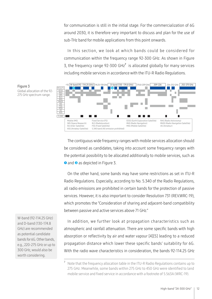for communication is still in the initial stage. For the commercialization of 6G around 2030, it is therefore very important to discuss and plan for the use of sub-THz band for mobile applications from this point onwards.

In this section, we look at which bands could be considered for communication within the frequency range 92-300 GHz. As shown in Figure 3, the frequency range 92-300 GHz<sup>7</sup> is allocated globally for many services including mobile services in accordance with the ITU-R Radio Regulations.



The contiguous wide frequency ranges with mobile services allocation should be considered as candidates, taking into account some frequency ranges with the potential possibility to be allocated additionally to mobile services, such as **<sup>❶</sup>** and **❷** as depicted in Figure 3.

On the other hand, some bands may have some restrictions as set in ITU-R Radio Regulations. Especially, according to No. 5.340 of the Radio Regulations, all radio emissions are prohibited in certain bands for the protection of passive services. However, it is also important to consider Resolution 731 (REV.WRC-19), which promotes the "Consideration of sharing and adjacent-band compatibility between passive and active services above 71 GHz."

In addition, we further look at propagation characteristics such as atmospheric and rainfall attenuation. There are some specific bands with high absorption or reflectivity by air and water vapour [4][5] leading to a reduced propagation distance which lower these specific bands' suitability for 6G. With the radio wave characteristics in consideration, the bands 92-114.25 GHz

W-band (92-114.25 GHz) and D-band (130-174.8 GHz) are recommended as potential candidate bands for 6G. Other bands, e.g., 220-275 GHz or up to 300 GHz, would also be worth considering.

Figure 3

<sup>7</sup> Note that the frequency allocation table in the ITU-R Radio Regulations contains up to 275 GHz. Meanwhile, some bands within 275 GHz to 450 GHz were identified to land mobile service and fixed service in accordance with a footnote of 5.563A (WRC-19).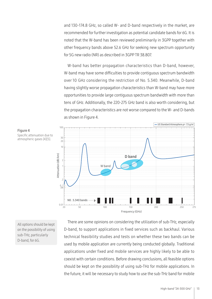and 130-174.8 GHz, so called W- and D-band respectively in the market, are recommended for further investigation as potential candidate bands for 6G. It is noted that the W-band has been reviewed preliminarily in 3GPP together with other frequency bands above 52.6 GHz for seeking new spectrum opportunity for 5G new radio (NR) as described in 3GPP TR 38.807.

W-band has better propagation characteristics than D-band, however, W-band may have some difficulties to provide contiguous spectrum bandwidth over 10 GHz considering the restriction of No. 5.340. Meanwhile, D-band having slightly worse propagation characteristics than W-band may have more opportunities to provide large contiguous spectrum bandwidth with more than tens of GHz. Additionally, the 220-275 GHz band is also worth considering, but the propagation characteristics are not worse compared to the W- and D-bands as shown in Figure 4.



Figure 4 Specific attenuation due to atmospheric gases [4][5].

All options should be kept on the possibility of using sub-THz, particularly D-band, for 6G.

There are some opinions on considering the utilization of sub-THz, especially D-band, to support applications in fixed services such as backhaul. Various technical feasibility studies and tests on whether these two bands can be used by mobile application are currently being conducted globally. Traditional applications under fixed and mobile services are highly likely to be able to coexist with certain conditions. Before drawing conclusions, all feasible options should be kept on the possibility of using sub-THz for mobile applications. In the future, it will be necessary to study how to use the sub-THz band for mobile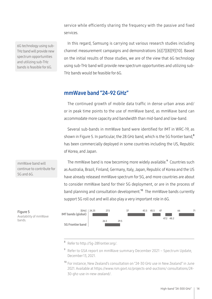service while efficiently sharing the frequency with the passive and fixed services.

6G technology using sub-THz band will provide new spectrum opportunities and utilizing sub-THz bands is feasible for 6G.

In this regard, Samsung is carrying out various research studies including channel measurement campaigns and demonstrations [6][7][8][9][10]. Based on the initial results of those studies, we are of the view that 6G technology using sub-THz band will provide new spectrum opportunities and utilizing sub-THz bands would be feasible for 6G.

#### mmWave band "24-92 GHz"

The continued growth of mobile data traffic in dense urban areas and/ or in peak time points to the use of mmWave band, as mmWave band can accommodate more capacity and bandwidth than mid-band and low-band.

Several sub-bands in mmWave band were identified for IMT in WRC-19, as shown in Figure 5. In particular, the 28 GHz band, which is the 5G frontier band,<sup>8</sup> has been commercially deployed in some countries including the US, Republic of Korea, and Japan.

The mmWave band is now becoming more widely available.<sup>9</sup> Countries such as Australia, Brazil, Finland, Germany, Italy, Japan, Republic of Korea and the US have already released mmWave spectrum for 5G, and more countries are about to consider mmWave band for their 5G deployment, or are in the process of band planning and consultation development.<sup>10</sup> The mmWave bands currently support 5G roll out and will also play a very important role in 6G.



Refer to http://5q-28frontier.org/.

- <sup>9</sup> Refer to GSA report on mmWave summary December 2021 Spectrum Update, December 13, 2021.
- <sup>10</sup> For instance, New Zealand's consultation on "24-30 GHz use in New Zealand" in June 2021. Available at https://www.rsm.govt.nz/projects-and-auctions/ consultations/24- 30-ghz-use-in-new-zealand/.

mmWave band will continue to contribute for 5G and 6G.

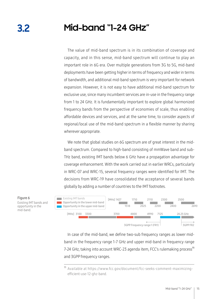## **Mid-band "1-24 GHz"**

The value of mid-band spectrum is in its combination of coverage and capacity, and in this sense, mid-band spectrum will continue to play an important role in 6G era. Over multiple generations from 3G to 5G, mid-band deployments have been getting higher in terms of frequency and wider in terms of bandwidth, and additional mid-band spectrum is very important for network expansion. However, it is not easy to have additional mid-band spectrum for exclusive use, since many incumbent services are in-use in the frequency range from 1 to 24 GHz. It is fundamentally important to explore global harmonized frequency bands from the perspective of economies of scale, thus enabling affordable devices and services, and at the same time, to consider aspects of regional/local use of the mid-band spectrum in a flexible manner by sharing wherever appropriate.

We note that global studies on 6G spectrum are of great interest in the midband spectrum. Compared to high-band consisting of mmWave band and sub-THz band, existing IMT bands below 6 GHz have a propagation advantage for coverage enhancement. With the work carried out in earlier WRCs, particularly in WRC-07 and WRC-15, several frequency ranges were identified for IMT. The decisions from WRC-19 have consolidated the acceptance of several bands globally by adding a number of countries to the IMT footnotes.



In case of the mid-band, we define two-sub frequency ranges as lower midband in the frequency range 1-7 GHz and upper mid-band in frequency range 7-24 GHz, taking into account WRC-23 agenda item, FCC's rulemaking process<sup>11</sup> and 3GPP frequency ranges.

Figure 6 Existing IMT bands and

**3.2** 

opportunity in the mid-band.

<sup>11</sup> Available at https://www.fcc.gov/document/fcc-seeks-comment-maximizingefficient-use-12-ghz-band.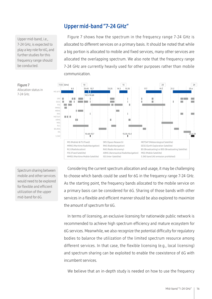#### Upper mid-band "7-24 GHz"

communication.

Upper mid-band, i.e., 7-24 GHz, is expected to play a key role for 6G, and further studies for this frequency range should be conducted.



Figure 7 shows how the spectrum in the frequency range 7-24 GHz is allocated to different services on a primary basis. It should be noted that while a big portion is allocated to mobile and fixed services, many other services are allocated the overlapping spectrum. We also note that the frequency range 7-24 GHz are currently heavily used for other purposes rather than mobile

Figure 7

Allocation status in 7-24 GHz.

Spectrum sharing between mobile and other services would need to be explored for flexible and efficient utilization of the upper mid-band for 6G.

Considering the current spectrum allocation and usage, it may be challenging to choose which bands could be used for 6G in the frequency range 7-24 GHz. As the starting point, the frequency bands allocated to the mobile service on a primary basis can be considered for 6G. Sharing of those bands with other services in a flexible and efficient manner should be also explored to maximize the amount of spectrum for 6G.

In terms of licensing, an exclusive licensing for nationwide public network is recommended to achieve high spectrum efficiency and mature ecosystem for 6G services. Meanwhile, we also recognize the potential difficulty for regulatory bodies to balance the utilization of the limited spectrum resource among different services. In that case, the flexible licensing (e.g., local licensing) and spectrum sharing can be exploited to enable the coexistence of 6G with incumbent services.

We believe that an in-depth study is needed on how to use the frequency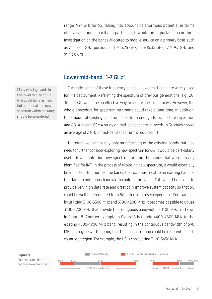range 7-24 GHz for 6G, taking into account its enormous potential in terms of coverage and capacity. In particular, it would be important to continue investigation on the bands allocated to mobile service on a primary basis such as 7.125-8.5 GHz, portions of 10-13.25 GHz, 14.3-15.35 GHz, 17.7-19.7 GHz and 21.2-23.6 GHz.

#### Lower mid-band "1-7 GHz"

Currently, some of those frequency bands in lower mid-band are widely used for IMT deployment. Refarming the spectrum of previous generations (e.g., 2G, 3G and 4G) would be an effective way to secure spectrum for 6G. However, the whole procedure for spectrum refarming could take a long time. In addition, the amount of existing spectrum is far from enough to support 5G expansion and 6G. A recent GSMA study on mid-band spectrum needs in 36 cities shows an average of 2 GHz of mid-band spectrum is required [11].

Therefore, we cannot rely only on refarming of the existing bands, but also need to further consider exploring new spectrum for 6G. It would be particularly useful if we could find new spectrum around the bands that were already identified for IMT. In the process of exploring new spectrum, it would especially be important to prioritize the bands that exist just next to an existing band so that larger contiguous bandwidth could be provided. This would be useful to provide very high data rate and drastically improve system capacity so that 6G could be well differentiated from 5G in terms of user experience. For example, by utilizing 3100-3300 MHz and 3700-4200 MHz, it becomes possible to utilize 3100-4200 MHz that provide the contiguous bandwidth of 1100 MHz as shown in Figure 8. Another example in Figure 8 is to add 4400-4800 MHz to the existing 4800-4900 MHz band, resulting in the contiguous bandwidth of 590 MHz. It may be worth noting that the final allocation could be different in each country or region. For example, the US is considering 3100-3450 MHz.



Many existing bands in the lower mid-band 1-7 GHz could be refarmed, but additional and new spectrum within the range should be considered.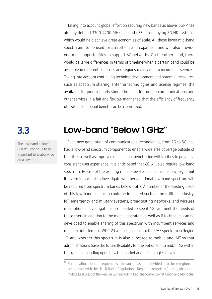Taking into account global effort on securing new bands as above, 3GPP has already defined 3300-4200 MHz as band n77 for deploying 5G NR systems, which would help achieve great economies of scale. All those lower mid-band spectra aim to be used for 5G roll out and expansion and will also provide enormous opportunities to support 6G networks. On the other hand, there would be large differences in terms of timeline when a certain band could be available in different countries and regions mainly due to incumbent services. Taking into account continuing technical development and potential measures, such as spectrum sharing, antenna technologies and license regimes, the available frequency bands should be used for mobile communications and other services in a fair and flexible manner so that the efficiency of frequency utilization and social benefit can be maximized.

**3.3** 

The low-band below 1 GHz will continue to be important to enable wide area coverage.

### **Low-band "Below 1 GHz"**

Each new generation of communications technologies, from 2G to 5G, has had a low-band spectrum component to enable wide area coverage outside of the cities as well as improved deep indoor penetration within cities to provide a consistent user experience. It is anticipated that 6G will also require low-band spectrum. Re-use of the existing mobile low-band spectrum is envisaged but it is also important to investigate whether additional low-band spectrum will be required from spectrum bands below 1 GHz. A number of the existing users of this low-band spectrum could be impacted such as the utilities industry, IoT, emergency and military systems, broadcasting networks, and wireless microphones. Investigations are needed to see if 6G can meet the needs of these users in addition to the mobile operators as well as if techniques can be developed to enable sharing of this spectrum with incumbent services and minimize interference. WRC-23 will be looking into the UHF spectrum in Region 1 <sup>12</sup>and whether this spectrum is also allocated to mobile and IMT so that administrations have the future flexibility for the option for 5G and/or 6G within this range depending upon how the market and technologies develop.

<sup>&</sup>lt;sup>12</sup> For the allocation of frequencies, the world has been divided into three regions in accordance with the ITU-R Radio Regulations. Region 1 comprises Europe, Africa, the Middle East West of the Persian Gulf including Iraq, the former Soviet Union and Mongolia.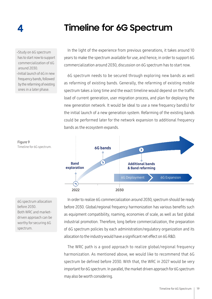### **Timeline for 6G Spectrum**

.Study on 6G spectrum has to start now to support commercialization of 6G around 2030.

**4**

.Initial launch of 6G in new frequency bands, followed by the refarming of existing ones in a later phase.

In the light of the experience from previous generations, it takes around 10 years to make the spectrum available for use, and hence, in order to support 6G commercialization around 2030, discussion on 6G spectrum has to start now.

6G spectrum needs to be secured through exploring new bands as well as refarming of existing bands. Generally, the refarming of existing mobile spectrum takes a long time and the exact timeline would depend on the traffic load of current generation, user migration process, and plan for deploying the new generation network. It would be ideal to use a new frequency band(s) for the initial launch of a new generation system. Refarming of the existing bands could be performed later for the network expansion to additional frequency bands as the ecosystem expands.





In order to realize 6G commercialization around 2030, spectrum should be ready before 2030. Global/regional frequency harmonization has various benefits such as equipment compatibility, roaming, economies of scale, as well as fast global industrial promotion. Therefore, long before commercialization, the preparation of 6G spectrum policies by each administration/regulatory organization and its allocation to the industry would have a significant net effect on 6G R&D.

The WRC path is a good approach to realize global/regional frequency harmonization. As mentioned above, we would like to recommend that 6G spectrum be defined before 2030. With that, the WRC in 2027 would be very important for 6G spectrum. In parallel, the market driven approach for 6G spectrum may also be worth considering.

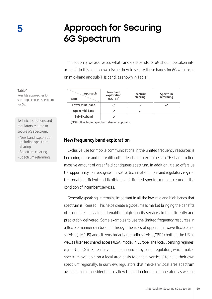### **Approach for Securing 6G Spectrum**

In Section 3, we addressed what candidate bands for 6G should be taken into account. In this section, we discuss how to secure those bands for 6G with focus on mid-band and sub-THz band, as shown in Table 1.

| Approach<br><b>Band</b> | New band<br>exploration<br>(NOTE 1) | Spectrum<br>clearing | Spectrum<br>refarming |
|-------------------------|-------------------------------------|----------------------|-----------------------|
| Lower mind-band         |                                     |                      |                       |
| Upper mid-band          |                                     |                      |                       |
| Sub-THz band            |                                     |                      |                       |

(NOTE 1) including spectrum sharing approach.

#### New frequency band exploration

Exclusive use for mobile communications in the limited frequency resources is becoming more and more difficult. It leads us to examine sub-THz band to find massive amount of greenfield contiguous spectrum. In addition, it also offers us the opportunity to investigate innovative technical solutions and regulatory regime that enable efficient and flexible use of limited spectrum resource under the condition of incumbent services.

Generally speaking, it remains important in all the low, mid and high bands that spectrum is licensed. This helps create a global mass market bringing the benefits of economies of scale and enabling high-quality services to be efficiently and predictably delivered. Some examples to use the limited frequency resources in a flexible manner can be seen through the rules of upper microwave flexible use service (UMFUS) and citizens broadband radio service (CBRS) both in the US as well as licensed shared access (LSA) model in Europe. The local licensing regimes, e.g., e-Um 5G in Korea, have been announced by some regulators, which makes spectrum available on a local area basis to enable 'verticals' to have their own spectrum regionally. In our view, regulators that make any local area spectrum available could consider to also allow the option for mobile operators as well as

#### Table 1

Possible approaches for securing licensed spectrum for 6G.

Technical solutions and regulatory regime to secure 6G spectrum:

- New band exploration including spectrum sharing
- Spectrum clearing
- Spectrum refarming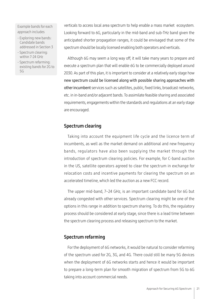Example bands for each approach includes

- Exploring new bands: Candidate bands addressed in Section 3
- Spectrum clearing: within 7-24 GHz
- Spectrum refarming: existing bands for 2G to 5G

verticals to access local area spectrum to help enable a mass market ecosystem. Looking forward to 6G, particularly in the mid-band and sub-THz band given the anticipated shorter propagation ranges, it could be envisaged that some of the spectrum should be locally licensed enabling both operators and verticals.

Although 6G may seem a long way off, it will take many years to prepare and execute a spectrum plan that will enable 6G to be commercially deployed around 2030. As part of this plan, it is important to consider at a relatively early stage how new spectrum could be licensed along with possible sharing approaches with other incumbent services such as satellites, public, fixed links, broadcast networks, etc. in in-band and/or adjacent bands. To assimilate feasible sharing and associated requirements, engagements within the standards and regulations at an early stage are encouraged.

#### Spectrum clearing

Taking into account the equipment life cycle and the licence term of incumbents, as well as the market demand on additional and new frequency bands, regulators have also been supplying the market through the introduction of spectrum clearing policies. For example, for C-band auction in the US, satellite operators agreed to clear the spectrum in exchange for relocation costs and incentive payments for clearing the spectrum on an accelerated timeline, which led the auction as a new FCC record.

The upper mid-band, 7–24 GHz, is an important candidate band for 6G but already congested with other services. Spectrum clearing might be one of the options in this range in addition to spectrum sharing. To do this, the regulatory process should be considered at early stage, since there is a lead time between the spectrum clearing process and releasing spectrum to the market.

#### Spectrum refarming

For the deployment of 6G networks, it would be natural to consider refarming of the spectrum used for 2G, 3G, and 4G. There could still be many 5G devices when the deployment of 6G networks starts and hence it would be important to prepare a long-term plan for smooth migration of spectrum from 5G to 6G taking into account commercial needs.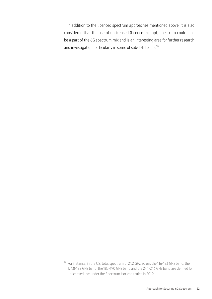In addition to the licenced spectrum approaches mentioned above, it is also considered that the use of unlicensed (licence-exempt) spectrum could also be a part of the 6G spectrum mix and is an interesting area for further research and investigation particularly in some of sub-THz bands.<sup>13</sup>

<sup>13</sup> For instance, in the US, total spectrum of 21.2 GHz across the 116-123 GHz band, the 174.8-182 GHz band, the 185-190 GHz band and the 244-246 GHz band are defined for unlicensed use under the Spectrum Horizons rules in 2019.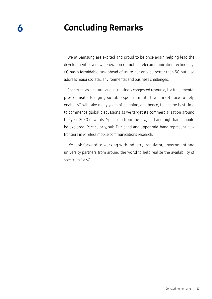### Concluding Remarks

**6**

We at Samsung are excited and proud to be once again helping lead the development of a new generation of mobile telecommunication technology. 6G has a formidable task ahead of us, to not only be better than 5G but also address major societal, environmental and business challenges.

Spectrum, as a natural and increasingly congested resource, is a fundamental pre-requisite. Bringing suitable spectrum into the marketplace to help enable 6G will take many years of planning, and hence, this is the best time to commence global discussions as we target its commercialization around the year 2030 onwards. Spectrum from the low, mid and high-band should be explored. Particularly, sub-THz band and upper mid-band represent new frontiers in wireless mobile communications research.

We look forward to working with industry, regulator, government and university partners from around the world to help realize the availability of spectrum for 6G.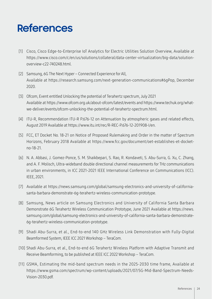## **References**

- Cisco, Cisco Edge-to-Enterprise IoT Analytics for Electric Utilities Solution Overview, Available at [1] https://www.cisco.com/c/en/us/solutions/collateral/data-center-virtualization/big-data/solutionoverview-c22-740248.html.
- [2] Samsung, 6G The Next Hyper Connected Experience for All, Available at https://research.samsung.com/next-generation-communications#6gPop, December 2020.
- Ofcom, Event entitled Unlocking the potential of Terahertz spectrum, July 2021 [3] Available at https://www.ofcom.org.uk/about-ofcom/latest/events and https://www.techuk.org/whatwe-deliver/events/ofcom-unlocking-the-potential-of-terahertz-spectrum.html.
- ITU-R, Recommendation ITU-R P.676-12 on Attenuation by atmospheric gases and related effects, [4] August 2019 Available at https://www.itu.int/rec/R-REC-P.676-12-201908-I/en.
- FCC, ET Docket No. 18-21 on Notice of Proposed Rulemaking and Order in the matter of Spectrum [5] Horizons, February 2018 Available at https://www.fcc.gov/document/oet-establishes-et-docketno-18-21.
- N. A. Abbasi, J. Gomez-Ponce, S. M. Shaikbepari, S. Rao, R. Kondaveti, S. Abu-Surra, G. Xu, C. Zhang, [6] and A. F. Molisch, Ultra-wideband double directional channel measurements for THz communications in urban environments, in ICC 2021-2021 IEEE International Conference on Communications (ICC). IEEE, 2021.
- Available at https://news.samsung.com/global/samsung-electronics-and-university-of-california-[7] santa-barbara-demonstrate-6g-terahertz-wireless-communication-prototype.
- Samsung, News article on Samsung Electronics and University of California Santa Barbara [8] Demonstrate 6G Terahertz Wireless Communication Prototype, June 2021 Available at https://news. samsung.com/global/samsung-electronics-and-university-of-california-santa-barbara-demonstrate-6g-terahertz-wireless-communication-prototype.
- [9] Shadi Abu-Surra, et al., End-to-end 140 GHz Wireless Link Demonstration with Fully-Digital Beamformed System, IEEE ICC 2021 Workshop – TeraCom.
- [10] Shadi Abu-Surra, et al., End-to-end 6G Terahertz Wireless Platform with Adaptive Transmit and Receive Beamforming, to be published at IEEE ICC 2022 Workshop – TeraCom.
- [11] GSMA, Estimating the mid-band spectrum needs in the 2025-2030 time frame, Available at https://www.gsma.com/spectrum/wp-content/uploads/2021/07/5G-Mid-Band-Spectrum-Needs-Vision-2030.pdf.